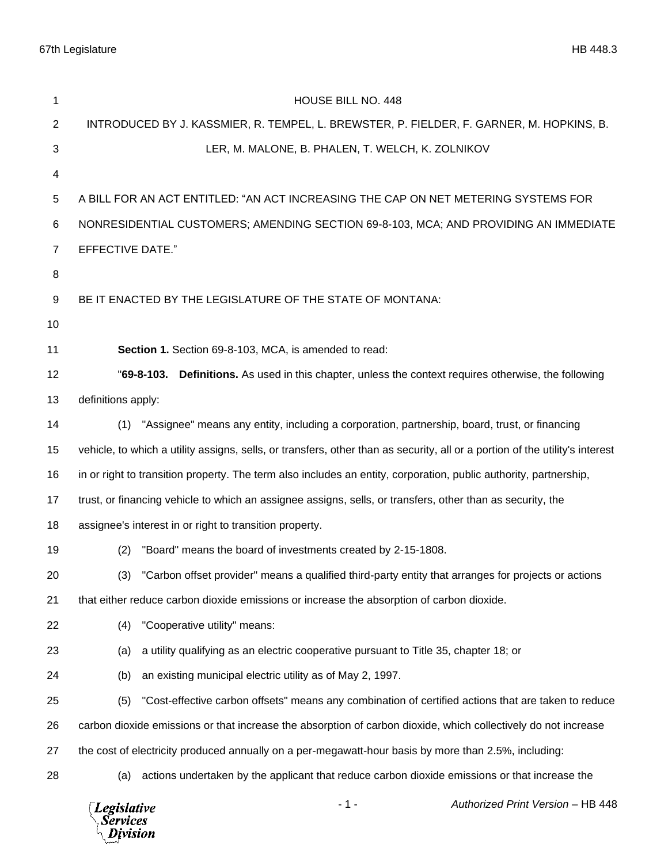67th Legislature HB 448.3

| 1                                                                                       | <b>HOUSE BILL NO. 448</b>                                                                                                    |  |  |
|-----------------------------------------------------------------------------------------|------------------------------------------------------------------------------------------------------------------------------|--|--|
| $\mathbf{2}$                                                                            | INTRODUCED BY J. KASSMIER, R. TEMPEL, L. BREWSTER, P. FIELDER, F. GARNER, M. HOPKINS, B.                                     |  |  |
| 3                                                                                       | LER, M. MALONE, B. PHALEN, T. WELCH, K. ZOLNIKOV                                                                             |  |  |
| 4                                                                                       |                                                                                                                              |  |  |
| $\sqrt{5}$                                                                              | A BILL FOR AN ACT ENTITLED: "AN ACT INCREASING THE CAP ON NET METERING SYSTEMS FOR                                           |  |  |
| 6                                                                                       | NONRESIDENTIAL CUSTOMERS; AMENDING SECTION 69-8-103, MCA; AND PROVIDING AN IMMEDIATE                                         |  |  |
| $\overline{7}$                                                                          | <b>EFFECTIVE DATE."</b>                                                                                                      |  |  |
| 8                                                                                       |                                                                                                                              |  |  |
| 9                                                                                       | BE IT ENACTED BY THE LEGISLATURE OF THE STATE OF MONTANA:                                                                    |  |  |
| 10                                                                                      |                                                                                                                              |  |  |
| 11                                                                                      | Section 1. Section 69-8-103, MCA, is amended to read:                                                                        |  |  |
| 12                                                                                      | "69-8-103. Definitions. As used in this chapter, unless the context requires otherwise, the following                        |  |  |
| 13                                                                                      | definitions apply:                                                                                                           |  |  |
| 14                                                                                      | "Assignee" means any entity, including a corporation, partnership, board, trust, or financing<br>(1)                         |  |  |
| 15                                                                                      | vehicle, to which a utility assigns, sells, or transfers, other than as security, all or a portion of the utility's interest |  |  |
| 16                                                                                      | in or right to transition property. The term also includes an entity, corporation, public authority, partnership,            |  |  |
| 17                                                                                      | trust, or financing vehicle to which an assignee assigns, sells, or transfers, other than as security, the                   |  |  |
| 18                                                                                      | assignee's interest in or right to transition property.                                                                      |  |  |
| 19                                                                                      | "Board" means the board of investments created by 2-15-1808.<br>(2)                                                          |  |  |
| 20                                                                                      | "Carbon offset provider" means a qualified third-party entity that arranges for projects or actions<br>(3)                   |  |  |
| 21                                                                                      | that either reduce carbon dioxide emissions or increase the absorption of carbon dioxide.                                    |  |  |
| 22                                                                                      | "Cooperative utility" means:<br>(4)                                                                                          |  |  |
| 23                                                                                      | a utility qualifying as an electric cooperative pursuant to Title 35, chapter 18; or<br>(a)                                  |  |  |
| 24                                                                                      | an existing municipal electric utility as of May 2, 1997.<br>(b)                                                             |  |  |
| 25                                                                                      | "Cost-effective carbon offsets" means any combination of certified actions that are taken to reduce<br>(5)                   |  |  |
| 26                                                                                      | carbon dioxide emissions or that increase the absorption of carbon dioxide, which collectively do not increase               |  |  |
| 27                                                                                      | the cost of electricity produced annually on a per-megawatt-hour basis by more than 2.5%, including:                         |  |  |
| 28                                                                                      | actions undertaken by the applicant that reduce carbon dioxide emissions or that increase the<br>(a)                         |  |  |
| $-1-$<br>Authorized Print Version - HB 448<br><b>Legislative</b><br>Services<br>ivision |                                                                                                                              |  |  |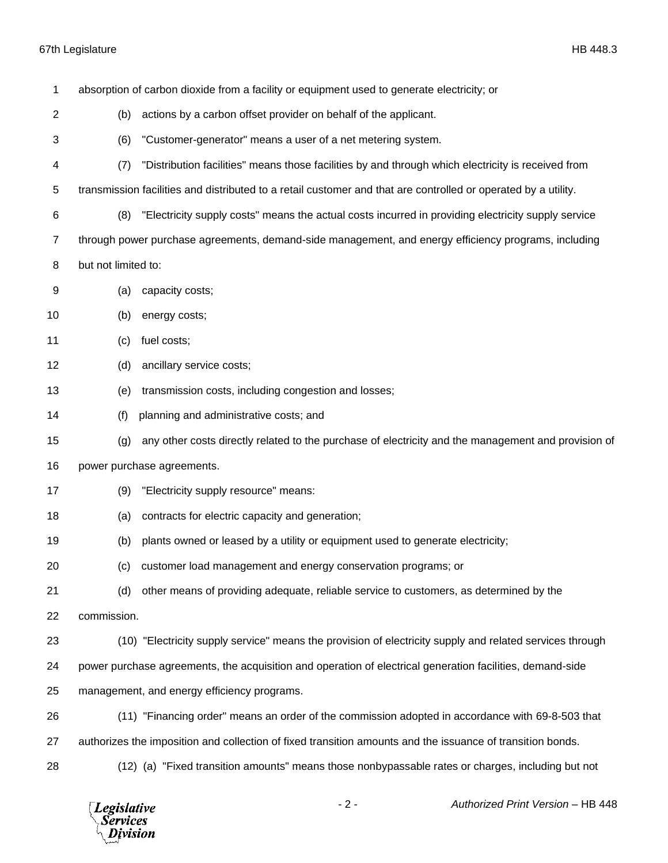## 67th Legislature HB 448.3

| 1              | absorption of carbon dioxide from a facility or equipment used to generate electricity; or                     |                                                                                                          |  |  |
|----------------|----------------------------------------------------------------------------------------------------------------|----------------------------------------------------------------------------------------------------------|--|--|
| $\overline{c}$ | (b)                                                                                                            | actions by a carbon offset provider on behalf of the applicant.                                          |  |  |
| 3              | (6)                                                                                                            | "Customer-generator" means a user of a net metering system.                                              |  |  |
| 4              | (7)                                                                                                            | "Distribution facilities" means those facilities by and through which electricity is received from       |  |  |
| 5              | transmission facilities and distributed to a retail customer and that are controlled or operated by a utility. |                                                                                                          |  |  |
| 6              | (8)                                                                                                            | "Electricity supply costs" means the actual costs incurred in providing electricity supply service       |  |  |
| 7              | through power purchase agreements, demand-side management, and energy efficiency programs, including           |                                                                                                          |  |  |
| 8              | but not limited to:                                                                                            |                                                                                                          |  |  |
| 9              | (a)                                                                                                            | capacity costs;                                                                                          |  |  |
| 10             | (b)                                                                                                            | energy costs;                                                                                            |  |  |
| 11             | (c)                                                                                                            | fuel costs;                                                                                              |  |  |
| 12             | (d)                                                                                                            | ancillary service costs;                                                                                 |  |  |
| 13             | (e)                                                                                                            | transmission costs, including congestion and losses;                                                     |  |  |
| 14             | (f)                                                                                                            | planning and administrative costs; and                                                                   |  |  |
| 15             | (g)                                                                                                            | any other costs directly related to the purchase of electricity and the management and provision of      |  |  |
| 16             | power purchase agreements.                                                                                     |                                                                                                          |  |  |
| 17             | (9)                                                                                                            | "Electricity supply resource" means:                                                                     |  |  |
| 18             | (a)                                                                                                            | contracts for electric capacity and generation;                                                          |  |  |
| 19             | (b)                                                                                                            | plants owned or leased by a utility or equipment used to generate electricity;                           |  |  |
| 20             |                                                                                                                | (c) customer load management and energy conservation programs; or                                        |  |  |
| 21             | (d)                                                                                                            | other means of providing adequate, reliable service to customers, as determined by the                   |  |  |
| 22             | commission.                                                                                                    |                                                                                                          |  |  |
| 23             |                                                                                                                | (10) "Electricity supply service" means the provision of electricity supply and related services through |  |  |
| 24             | power purchase agreements, the acquisition and operation of electrical generation facilities, demand-side      |                                                                                                          |  |  |
| 25             | management, and energy efficiency programs.                                                                    |                                                                                                          |  |  |
| 26             |                                                                                                                | (11) "Financing order" means an order of the commission adopted in accordance with 69-8-503 that         |  |  |
| 27             | authorizes the imposition and collection of fixed transition amounts and the issuance of transition bonds.     |                                                                                                          |  |  |
| 28             |                                                                                                                | (12) (a) "Fixed transition amounts" means those nonbypassable rates or charges, including but not        |  |  |
|                |                                                                                                                |                                                                                                          |  |  |

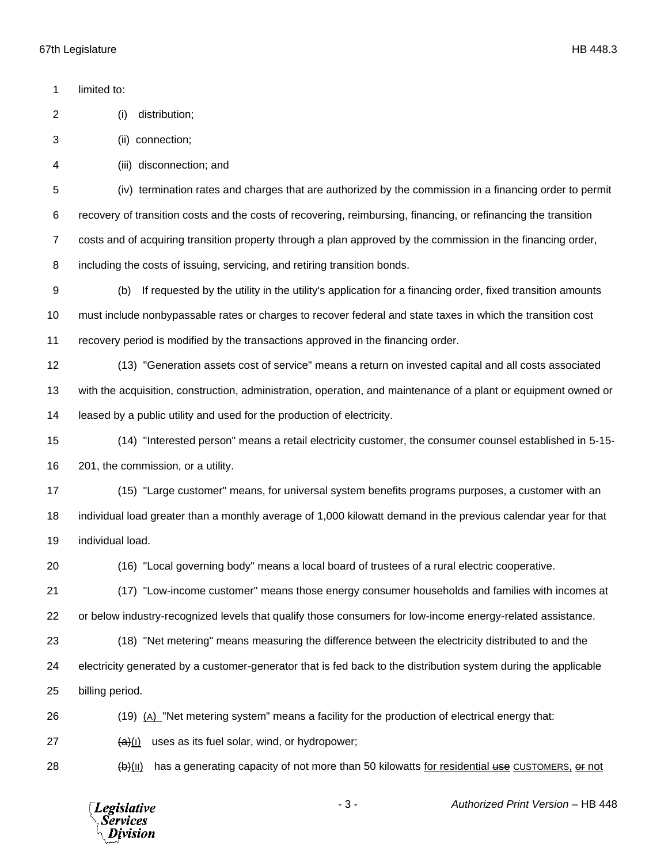limited to: (i) distribution; (ii) connection; (iii) disconnection; and (iv) termination rates and charges that are authorized by the commission in a financing order to permit recovery of transition costs and the costs of recovering, reimbursing, financing, or refinancing the transition costs and of acquiring transition property through a plan approved by the commission in the financing order, including the costs of issuing, servicing, and retiring transition bonds. (b) If requested by the utility in the utility's application for a financing order, fixed transition amounts must include nonbypassable rates or charges to recover federal and state taxes in which the transition cost recovery period is modified by the transactions approved in the financing order. (13) "Generation assets cost of service" means a return on invested capital and all costs associated with the acquisition, construction, administration, operation, and maintenance of a plant or equipment owned or leased by a public utility and used for the production of electricity. (14) "Interested person" means a retail electricity customer, the consumer counsel established in 5-15- 201, the commission, or a utility. (15) "Large customer" means, for universal system benefits programs purposes, a customer with an individual load greater than a monthly average of 1,000 kilowatt demand in the previous calendar year for that individual load. (16) "Local governing body" means a local board of trustees of a rural electric cooperative. (17) "Low-income customer" means those energy consumer households and families with incomes at or below industry-recognized levels that qualify those consumers for low-income energy-related assistance. (18) "Net metering" means measuring the difference between the electricity distributed to and the electricity generated by a customer-generator that is fed back to the distribution system during the applicable billing period. (19) (A) "Net metering system" means a facility for the production of electrical energy that:  $(a)(i)$  uses as its fuel solar, wind, or hydropower;

(b)(II) has a generating capacity of not more than 50 kilowatts for residential use CUSTOMERS, or not

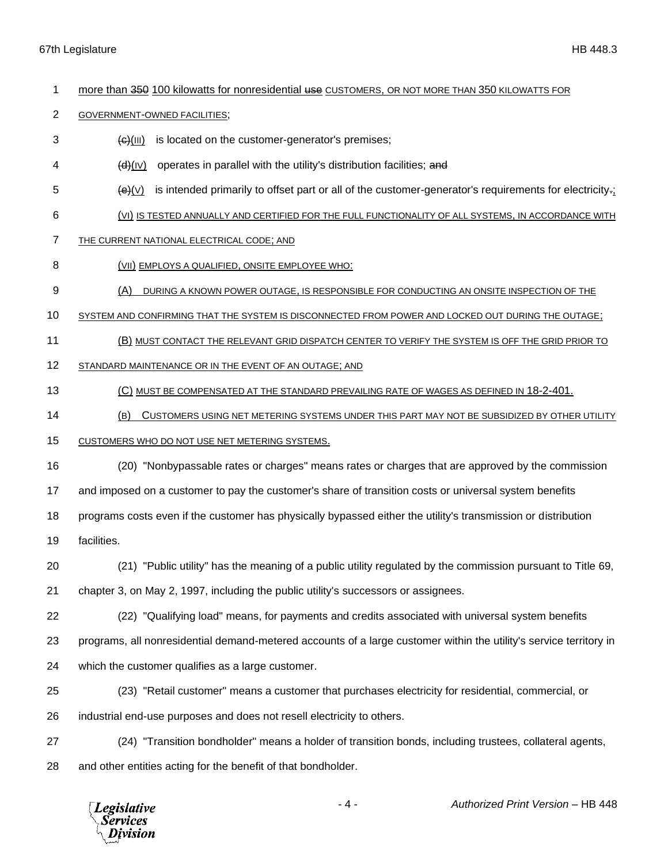- 1 more than 350 100 kilowatts for nonresidential use CUSTOMERS, OR NOT MORE THAN 350 KILOWATTS FOR
- GOVERNMENT-OWNED FACILITIES;
- $\Theta$ (III) is located on the customer-generator's premises;
- $\left\{\mathbf{d}\right\}$ (IV) operates in parallel with the utility's distribution facilities; and
- $\Theta$  (e)(v) is intended primarily to offset part or all of the customer-generator's requirements for electricity.;
- (VI) IS TESTED ANNUALLY AND CERTIFIED FOR THE FULL FUNCTIONALITY OF ALL SYSTEMS, IN ACCORDANCE WITH
- THE CURRENT NATIONAL ELECTRICAL CODE; AND
- 8 (VII) EMPLOYS A QUALIFIED, ONSITE EMPLOYEE WHO:
- (A) DURING A KNOWN POWER OUTAGE, IS RESPONSIBLE FOR CONDUCTING AN ONSITE INSPECTION OF THE
- SYSTEM AND CONFIRMING THAT THE SYSTEM IS DISCONNECTED FROM POWER AND LOCKED OUT DURING THE OUTAGE;
- (B) MUST CONTACT THE RELEVANT GRID DISPATCH CENTER TO VERIFY THE SYSTEM IS OFF THE GRID PRIOR TO
- STANDARD MAINTENANCE OR IN THE EVENT OF AN OUTAGE; AND
- (C) MUST BE COMPENSATED AT THE STANDARD PREVAILING RATE OF WAGES AS DEFINED IN 18-2-401.
- (B) CUSTOMERS USING NET METERING SYSTEMS UNDER THIS PART MAY NOT BE SUBSIDIZED BY OTHER UTILITY
- CUSTOMERS WHO DO NOT USE NET METERING SYSTEMS.
- (20) "Nonbypassable rates or charges" means rates or charges that are approved by the commission
- and imposed on a customer to pay the customer's share of transition costs or universal system benefits
- programs costs even if the customer has physically bypassed either the utility's transmission or distribution
- facilities.
- (21) "Public utility" has the meaning of a public utility regulated by the commission pursuant to Title 69,
- chapter 3, on May 2, 1997, including the public utility's successors or assignees.
- (22) "Qualifying load" means, for payments and credits associated with universal system benefits
- programs, all nonresidential demand-metered accounts of a large customer within the utility's service territory in
- which the customer qualifies as a large customer.
- (23) "Retail customer" means a customer that purchases electricity for residential, commercial, or
- industrial end-use purposes and does not resell electricity to others.
- (24) "Transition bondholder" means a holder of transition bonds, including trustees, collateral agents, and other entities acting for the benefit of that bondholder.

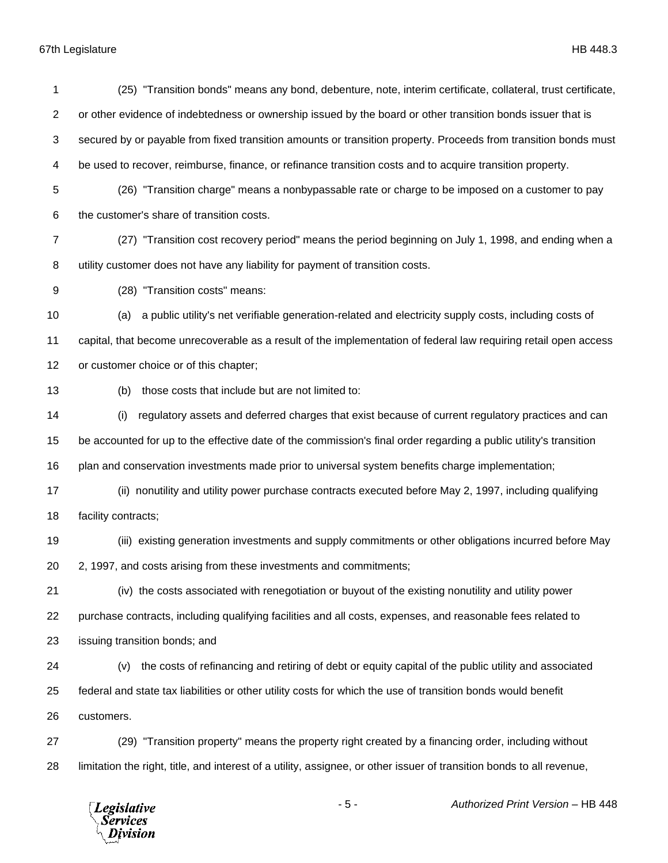## 67th Legislature HB 448.3

 (25) "Transition bonds" means any bond, debenture, note, interim certificate, collateral, trust certificate, or other evidence of indebtedness or ownership issued by the board or other transition bonds issuer that is secured by or payable from fixed transition amounts or transition property. Proceeds from transition bonds must be used to recover, reimburse, finance, or refinance transition costs and to acquire transition property. (26) "Transition charge" means a nonbypassable rate or charge to be imposed on a customer to pay the customer's share of transition costs. (27) "Transition cost recovery period" means the period beginning on July 1, 1998, and ending when a utility customer does not have any liability for payment of transition costs. (28) "Transition costs" means: (a) a public utility's net verifiable generation-related and electricity supply costs, including costs of capital, that become unrecoverable as a result of the implementation of federal law requiring retail open access or customer choice or of this chapter; (b) those costs that include but are not limited to: (i) regulatory assets and deferred charges that exist because of current regulatory practices and can be accounted for up to the effective date of the commission's final order regarding a public utility's transition plan and conservation investments made prior to universal system benefits charge implementation; (ii) nonutility and utility power purchase contracts executed before May 2, 1997, including qualifying facility contracts; (iii) existing generation investments and supply commitments or other obligations incurred before May 2, 1997, and costs arising from these investments and commitments; (iv) the costs associated with renegotiation or buyout of the existing nonutility and utility power purchase contracts, including qualifying facilities and all costs, expenses, and reasonable fees related to issuing transition bonds; and (v) the costs of refinancing and retiring of debt or equity capital of the public utility and associated federal and state tax liabilities or other utility costs for which the use of transition bonds would benefit customers. (29) "Transition property" means the property right created by a financing order, including without limitation the right, title, and interest of a utility, assignee, or other issuer of transition bonds to all revenue,

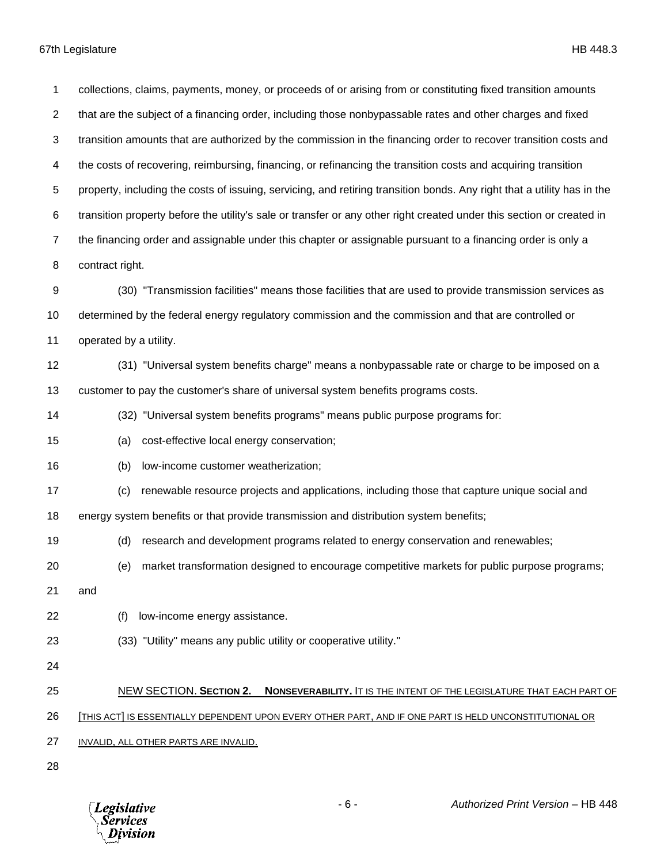collections, claims, payments, money, or proceeds of or arising from or constituting fixed transition amounts that are the subject of a financing order, including those nonbypassable rates and other charges and fixed transition amounts that are authorized by the commission in the financing order to recover transition costs and the costs of recovering, reimbursing, financing, or refinancing the transition costs and acquiring transition property, including the costs of issuing, servicing, and retiring transition bonds. Any right that a utility has in the transition property before the utility's sale or transfer or any other right created under this section or created in the financing order and assignable under this chapter or assignable pursuant to a financing order is only a contract right. (30) "Transmission facilities" means those facilities that are used to provide transmission services as determined by the federal energy regulatory commission and the commission and that are controlled or operated by a utility. (31) "Universal system benefits charge" means a nonbypassable rate or charge to be imposed on a customer to pay the customer's share of universal system benefits programs costs. (32) "Universal system benefits programs" means public purpose programs for: (a) cost-effective local energy conservation; (b) low-income customer weatherization; (c) renewable resource projects and applications, including those that capture unique social and energy system benefits or that provide transmission and distribution system benefits; (d) research and development programs related to energy conservation and renewables; (e) market transformation designed to encourage competitive markets for public purpose programs; and (f) low-income energy assistance. (33) "Utility" means any public utility or cooperative utility." NEW SECTION. **SECTION 2. NONSEVERABILITY.** IT IS THE INTENT OF THE LEGISLATURE THAT EACH PART OF [THIS ACT] IS ESSENTIALLY DEPENDENT UPON EVERY OTHER PART, AND IF ONE PART IS HELD UNCONSTITUTIONAL OR INVALID, ALL OTHER PARTS ARE INVALID.